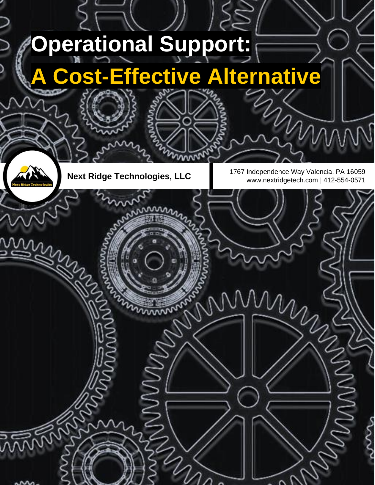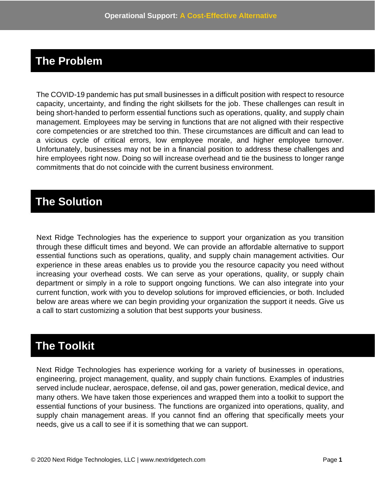## **The Problem**

The COVID-19 pandemic has put small businesses in a difficult position with respect to resource capacity, uncertainty, and finding the right skillsets for the job. These challenges can result in being short-handed to perform essential functions such as operations, quality, and supply chain management. Employees may be serving in functions that are not aligned with their respective core competencies or are stretched too thin. These circumstances are difficult and can lead to a vicious cycle of critical errors, low employee morale, and higher employee turnover. Unfortunately, businesses may not be in a financial position to address these challenges and hire employees right now. Doing so will increase overhead and tie the business to longer range commitments that do not coincide with the current business environment.

### **The Solution**

Next Ridge Technologies has the experience to support your organization as you transition through these difficult times and beyond. We can provide an affordable alternative to support essential functions such as operations, quality, and supply chain management activities. Our experience in these areas enables us to provide you the resource capacity you need without increasing your overhead costs. We can serve as your operations, quality, or supply chain department or simply in a role to support ongoing functions. We can also integrate into your current function, work with you to develop solutions for improved efficiencies, or both. Included below are areas where we can begin providing your organization the support it needs. Give us a call to start customizing a solution that best supports your business.

# **The Toolkit**

Next Ridge Technologies has experience working for a variety of businesses in operations, engineering, project management, quality, and supply chain functions. Examples of industries served include nuclear, aerospace, defense, oil and gas, power generation, medical device, and many others. We have taken those experiences and wrapped them into a toolkit to support the essential functions of your business. The functions are organized into operations, quality, and supply chain management areas. If you cannot find an offering that specifically meets your needs, give us a call to see if it is something that we can support.